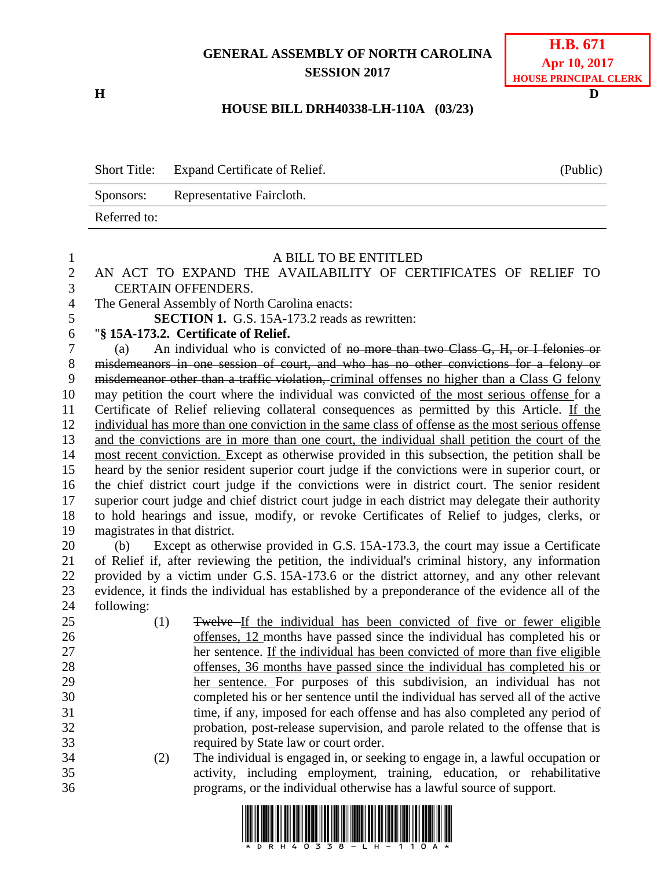## **GENERAL ASSEMBLY OF NORTH CAROLINA SESSION 2017**

**H D**

## **HOUSE BILL DRH40338-LH-110A (03/23)**

|              | Short Title: Expand Certificate of Relief. | (Public) |
|--------------|--------------------------------------------|----------|
| Sponsors:    | Representative Faircloth.                  |          |
| Referred to: |                                            |          |

| 1              |                                                | A BILL TO BE ENTITLED                                                                             |
|----------------|------------------------------------------------|---------------------------------------------------------------------------------------------------|
| $\overline{2}$ |                                                | AN ACT TO EXPAND THE AVAILABILITY OF CERTIFICATES OF RELIEF TO                                    |
| 3              | <b>CERTAIN OFFENDERS.</b>                      |                                                                                                   |
| $\overline{4}$ | The General Assembly of North Carolina enacts: |                                                                                                   |
| 5              |                                                | <b>SECTION 1.</b> G.S. 15A-173.2 reads as rewritten:                                              |
| 6              | "§ 15A-173.2. Certificate of Relief.           |                                                                                                   |
| $\tau$         | (a)                                            | An individual who is convicted of no more than two Class G, H, or I felonies or                   |
| $8\,$          |                                                | misdemeanors in one session of court, and who has no other convictions for a felony or            |
| 9              |                                                | misdemeanor other than a traffic violation, criminal offenses no higher than a Class G felony     |
| 10             |                                                | may petition the court where the individual was convicted of the most serious offense for a       |
| 11             |                                                | Certificate of Relief relieving collateral consequences as permitted by this Article. If the      |
| 12             |                                                | individual has more than one conviction in the same class of offense as the most serious offense  |
| 13             |                                                | and the convictions are in more than one court, the individual shall petition the court of the    |
| 14             |                                                | most recent conviction. Except as otherwise provided in this subsection, the petition shall be    |
| 15             |                                                | heard by the senior resident superior court judge if the convictions were in superior court, or   |
| 16             |                                                | the chief district court judge if the convictions were in district court. The senior resident     |
| 17             |                                                | superior court judge and chief district court judge in each district may delegate their authority |
| 18             |                                                | to hold hearings and issue, modify, or revoke Certificates of Relief to judges, clerks, or        |
| 19             | magistrates in that district.                  |                                                                                                   |
| 20             | (b)                                            | Except as otherwise provided in G.S. 15A-173.3, the court may issue a Certificate                 |
| 21             |                                                | of Relief if, after reviewing the petition, the individual's criminal history, any information    |
| 22             |                                                | provided by a victim under G.S. 15A-173.6 or the district attorney, and any other relevant        |
| 23             |                                                | evidence, it finds the individual has established by a preponderance of the evidence all of the   |
| 24             | following:                                     |                                                                                                   |
| 25             | (1)                                            | Twelve-If the individual has been convicted of five or fewer eligible                             |
| 26             |                                                | offenses, 12 months have passed since the individual has completed his or                         |
| 27             |                                                | her sentence. If the individual has been convicted of more than five eligible                     |
| 28             |                                                | offenses, 36 months have passed since the individual has completed his or                         |
| 29             |                                                | her sentence. For purposes of this subdivision, an individual has not                             |
| 30             |                                                | completed his or her sentence until the individual has served all of the active                   |
| 31             |                                                | time, if any, imposed for each offense and has also completed any period of                       |
| 32             |                                                | probation, post-release supervision, and parole related to the offense that is                    |
| 33             |                                                | required by State law or court order.                                                             |
| 34             | (2)                                            | The individual is engaged in, or seeking to engage in, a lawful occupation or                     |
| 35             |                                                | activity, including employment, training, education, or rehabilitative                            |
| 36             |                                                | programs, or the individual otherwise has a lawful source of support.                             |
|                |                                                |                                                                                                   |